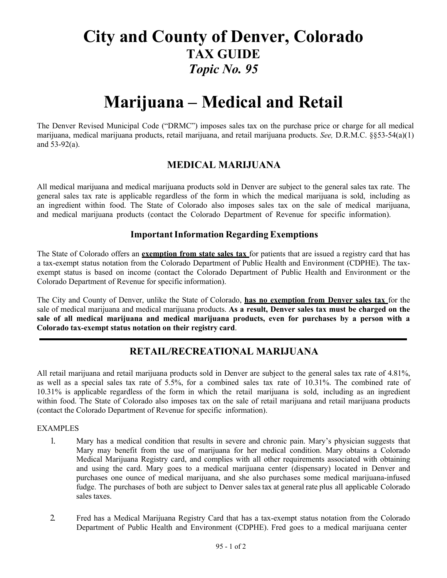## **City and County of Denver, Colorado TAX GUIDE** *Topic No. 95*

# **Marijuana – Medical and Retail**

The Denver Revised Municipal Code ("DRMC") imposes sales tax on the purchase price or charge for all medical marijuana, medical marijuana products, retail marijuana, and retail marijuana products. *See,* D.R.M.C. §§53-54(a)(1) and 53-92(a).

## **MEDICAL MARIJUANA**

All medical marijuana and medical marijuana products sold in Denver are subject to the general sales tax rate. The general sales tax rate is applicable regardless of the form in which the medical marijuana is sold, including as an ingredient within food. The State of Colorado also imposes sales tax on the sale of medical marijuana, and medical marijuana products (contact the Colorado Department of Revenue for specific information).

### **Important Information Regarding Exemptions**

The State of Colorado offers an **exemption from state sales tax** for patients that are issued a registry card that has a tax-exempt status notation from the Colorado Department of Public Health and Environment (CDPHE). The taxexempt status is based on income (contact the Colorado Department of Public Health and Environment or the Colorado Department of Revenue for specific information).

The City and County of Denver, unlike the State of Colorado, **has no exemption from Denver sales tax** for the sale of medical marijuana and medical marijuana products. **As a result, Denver sales tax must be charged on the sale of all medical marijuana and medical marijuana products, even for purchases by a person with a Colorado tax-exempt status notation on their registry card**.

## **RETAIL/RECREATIONAL MARIJUANA**

All retail marijuana and retail marijuana products sold in Denver are subject to the general sales tax rate of 4.81%, as well as a special sales tax rate of 5.5%, for a combined sales tax rate of 10.31%. The combined rate of 10.31% is applicable regardless of the form in which the retail marijuana is sold, including as an ingredient within food. The State of Colorado also imposes tax on the sale of retail marijuana and retail marijuana products (contact the Colorado Department of Revenue for specific information).

#### EXAMPLES

- 1. Mary has a medical condition that results in severe and chronic pain. Mary's physician suggests that Mary may benefit from the use of marijuana for her medical condition. Mary obtains a Colorado Medical Marijuana Registry card, and complies with all other requirements associated with obtaining and using the card. Mary goes to a medical marijuana center (dispensary) located in Denver and purchases one ounce of medical marijuana, and she also purchases some medical marijuana-infused fudge. The purchases of both are subject to Denver sales tax at general rate plus all applicable Colorado sales taxes.
- 2. Fred has a Medical Marijuana Registry Card that has a tax-exempt status notation from the Colorado Department of Public Health and Environment (CDPHE). Fred goes to a medical marijuana center